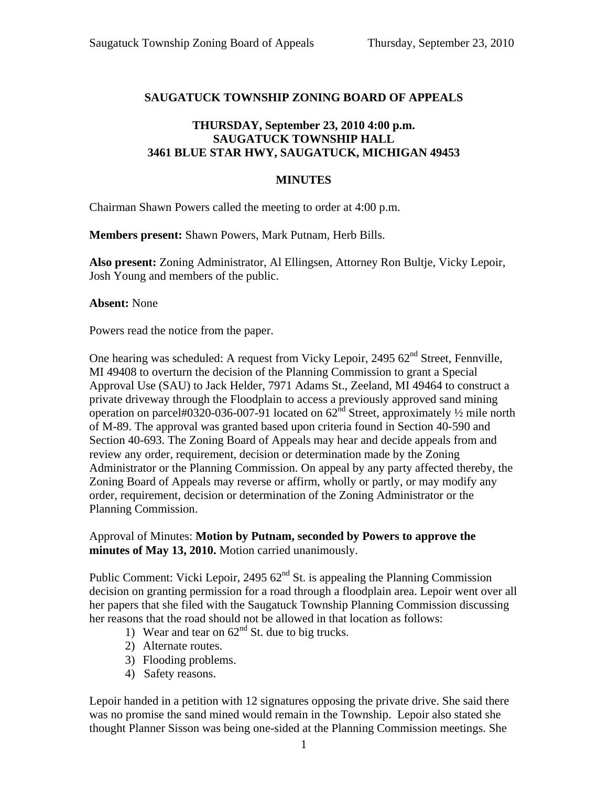# **SAUGATUCK TOWNSHIP ZONING BOARD OF APPEALS**

# **THURSDAY, September 23, 2010 4:00 p.m. SAUGATUCK TOWNSHIP HALL 3461 BLUE STAR HWY, SAUGATUCK, MICHIGAN 49453**

### **MINUTES**

Chairman Shawn Powers called the meeting to order at 4:00 p.m.

**Members present:** Shawn Powers, Mark Putnam, Herb Bills.

**Also present:** Zoning Administrator, Al Ellingsen, Attorney Ron Bultje, Vicky Lepoir, Josh Young and members of the public.

#### **Absent:** None

Powers read the notice from the paper.

One hearing was scheduled: A request from Vicky Lepoir, 2495  $62<sup>nd</sup>$  Street, Fennville, MI 49408 to overturn the decision of the Planning Commission to grant a Special Approval Use (SAU) to Jack Helder, 7971 Adams St., Zeeland, MI 49464 to construct a private driveway through the Floodplain to access a previously approved sand mining operation on parcel#0320-036-007-91 located on  $62<sup>nd</sup>$  Street, approximately  $\frac{1}{2}$  mile north of M-89. The approval was granted based upon criteria found in Section 40-590 and Section 40-693. The Zoning Board of Appeals may hear and decide appeals from and review any order, requirement, decision or determination made by the Zoning Administrator or the Planning Commission. On appeal by any party affected thereby, the Zoning Board of Appeals may reverse or affirm, wholly or partly, or may modify any order, requirement, decision or determination of the Zoning Administrator or the Planning Commission.

## Approval of Minutes: **Motion by Putnam, seconded by Powers to approve the minutes of May 13, 2010.** Motion carried unanimously.

Public Comment: Vicki Lepoir, 2495  $62<sup>nd</sup>$  St. is appealing the Planning Commission decision on granting permission for a road through a floodplain area. Lepoir went over all her papers that she filed with the Saugatuck Township Planning Commission discussing her reasons that the road should not be allowed in that location as follows:

- 1) Wear and tear on  $62<sup>nd</sup>$  St. due to big trucks.
- 2) Alternate routes.
- 3) Flooding problems.
- 4) Safety reasons.

Lepoir handed in a petition with 12 signatures opposing the private drive. She said there was no promise the sand mined would remain in the Township. Lepoir also stated she thought Planner Sisson was being one-sided at the Planning Commission meetings. She

1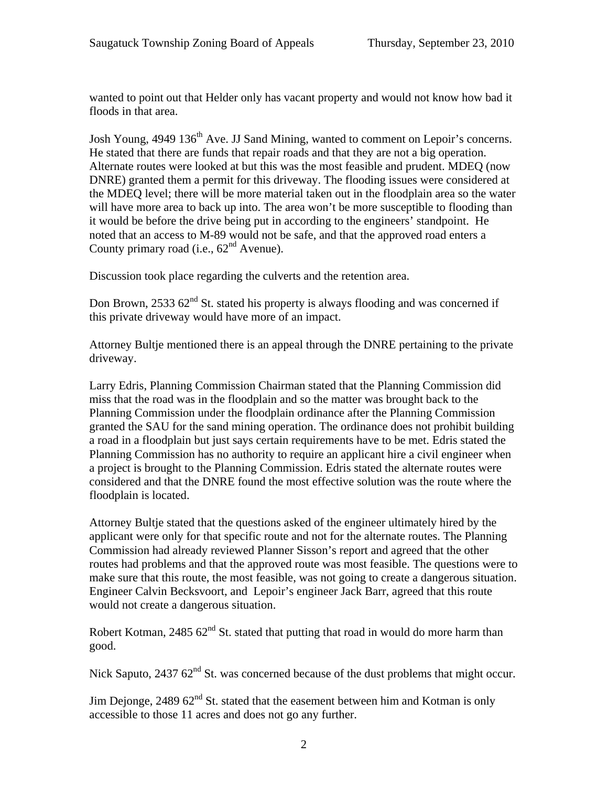wanted to point out that Helder only has vacant property and would not know how bad it floods in that area.

Josh Young, 4949 136<sup>th</sup> Ave. JJ Sand Mining, wanted to comment on Lepoir's concerns. He stated that there are funds that repair roads and that they are not a big operation. Alternate routes were looked at but this was the most feasible and prudent. MDEQ (now DNRE) granted them a permit for this driveway. The flooding issues were considered at the MDEQ level; there will be more material taken out in the floodplain area so the water will have more area to back up into. The area won't be more susceptible to flooding than it would be before the drive being put in according to the engineers' standpoint. He noted that an access to M-89 would not be safe, and that the approved road enters a County primary road (i.e.,  $62<sup>nd</sup>$  Avenue).

Discussion took place regarding the culverts and the retention area.

Don Brown, 2533  $62<sup>nd</sup>$  St. stated his property is always flooding and was concerned if this private driveway would have more of an impact.

Attorney Bultje mentioned there is an appeal through the DNRE pertaining to the private driveway.

Larry Edris, Planning Commission Chairman stated that the Planning Commission did miss that the road was in the floodplain and so the matter was brought back to the Planning Commission under the floodplain ordinance after the Planning Commission granted the SAU for the sand mining operation. The ordinance does not prohibit building a road in a floodplain but just says certain requirements have to be met. Edris stated the Planning Commission has no authority to require an applicant hire a civil engineer when a project is brought to the Planning Commission. Edris stated the alternate routes were considered and that the DNRE found the most effective solution was the route where the floodplain is located.

Attorney Bultje stated that the questions asked of the engineer ultimately hired by the applicant were only for that specific route and not for the alternate routes. The Planning Commission had already reviewed Planner Sisson's report and agreed that the other routes had problems and that the approved route was most feasible. The questions were to make sure that this route, the most feasible, was not going to create a dangerous situation. Engineer Calvin Becksvoort, and Lepoir's engineer Jack Barr, agreed that this route would not create a dangerous situation.

Robert Kotman, 2485  $62<sup>nd</sup>$  St. stated that putting that road in would do more harm than good.

Nick Saputo,  $243762<sup>nd</sup>$  St. was concerned because of the dust problems that might occur.

Jim Dejonge, 2489  $62<sup>nd</sup>$  St. stated that the easement between him and Kotman is only accessible to those 11 acres and does not go any further.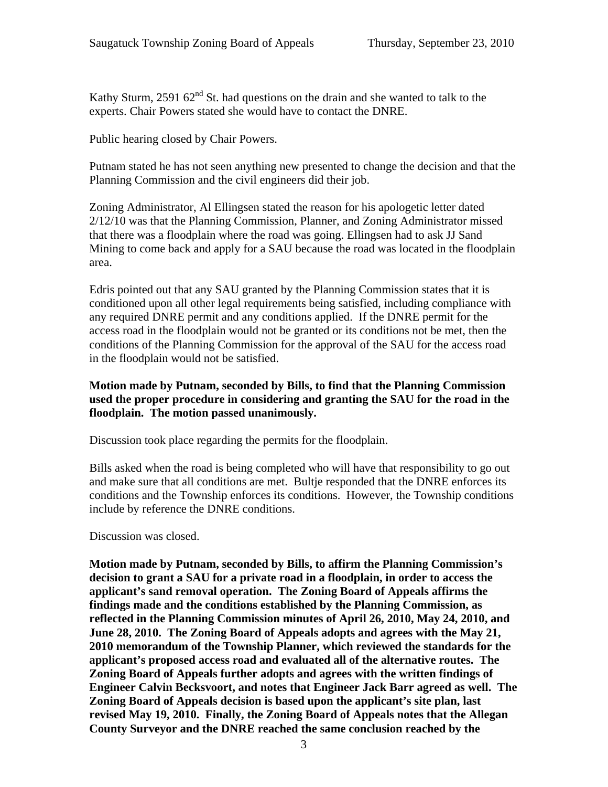Kathy Sturm, 2591  $62<sup>nd</sup>$  St. had questions on the drain and she wanted to talk to the experts. Chair Powers stated she would have to contact the DNRE.

Public hearing closed by Chair Powers.

Putnam stated he has not seen anything new presented to change the decision and that the Planning Commission and the civil engineers did their job.

Zoning Administrator, Al Ellingsen stated the reason for his apologetic letter dated 2/12/10 was that the Planning Commission, Planner, and Zoning Administrator missed that there was a floodplain where the road was going. Ellingsen had to ask JJ Sand Mining to come back and apply for a SAU because the road was located in the floodplain area.

Edris pointed out that any SAU granted by the Planning Commission states that it is conditioned upon all other legal requirements being satisfied, including compliance with any required DNRE permit and any conditions applied. If the DNRE permit for the access road in the floodplain would not be granted or its conditions not be met, then the conditions of the Planning Commission for the approval of the SAU for the access road in the floodplain would not be satisfied.

# **Motion made by Putnam, seconded by Bills, to find that the Planning Commission used the proper procedure in considering and granting the SAU for the road in the floodplain. The motion passed unanimously.**

Discussion took place regarding the permits for the floodplain.

Bills asked when the road is being completed who will have that responsibility to go out and make sure that all conditions are met. Bultje responded that the DNRE enforces its conditions and the Township enforces its conditions. However, the Township conditions include by reference the DNRE conditions.

Discussion was closed.

**Motion made by Putnam, seconded by Bills, to affirm the Planning Commission's decision to grant a SAU for a private road in a floodplain, in order to access the applicant's sand removal operation. The Zoning Board of Appeals affirms the findings made and the conditions established by the Planning Commission, as reflected in the Planning Commission minutes of April 26, 2010, May 24, 2010, and June 28, 2010. The Zoning Board of Appeals adopts and agrees with the May 21, 2010 memorandum of the Township Planner, which reviewed the standards for the applicant's proposed access road and evaluated all of the alternative routes. The Zoning Board of Appeals further adopts and agrees with the written findings of Engineer Calvin Becksvoort, and notes that Engineer Jack Barr agreed as well. The Zoning Board of Appeals decision is based upon the applicant's site plan, last revised May 19, 2010. Finally, the Zoning Board of Appeals notes that the Allegan County Surveyor and the DNRE reached the same conclusion reached by the**